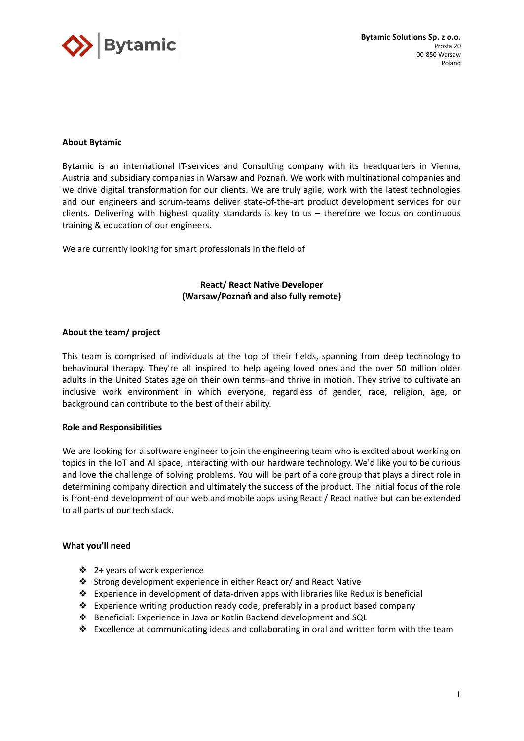

# **About Bytamic**

Bytamic is an international IT-services and Consulting company with its headquarters in Vienna, Austria and subsidiary companies in Warsaw and Poznań. We work with multinational companies and we drive digital transformation for our clients. We are truly agile, work with the latest technologies and our engineers and scrum-teams deliver state-of-the-art product development services for our clients. Delivering with highest quality standards is key to us – therefore we focus on continuous training & education of our engineers.

We are currently looking for smart professionals in the field of

**React/ React Native Developer (Warsaw/Poznań and also fully remote)**

## **About the team/ project**

This team is comprised of individuals at the top of their fields, spanning from deep technology to behavioural therapy. They're all inspired to help ageing loved ones and the over 50 million older adults in the United States age on their own terms–and thrive in motion. They strive to cultivate an inclusive work environment in which everyone, regardless of gender, race, religion, age, or background can contribute to the best of their ability.

## **Role and Responsibilities**

We are looking for a software engineer to join the engineering team who is excited about working on topics in the IoT and AI space, interacting with our hardware technology. We'd like you to be curious and love the challenge of solving problems. You will be part of a core group that plays a direct role in determining company direction and ultimately the success of the product. The initial focus of the role is front-end development of our web and mobile apps using React / React native but can be extended to all parts of our tech stack.

### **What you'll need**

- ❖ 2+ years of work experience
- ❖ Strong development experience in either React or/ and React Native
- ❖ Experience in development of data-driven apps with libraries like Redux is beneficial
- ❖ Experience writing production ready code, preferably in a product based company
- ❖ Beneficial: Experience in Java or Kotlin Backend development and SQL
- ❖ Excellence at communicating ideas and collaborating in oral and written form with the team